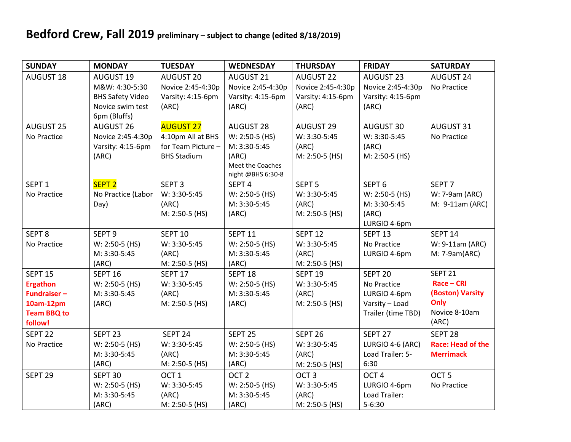## **Bedford Crew, Fall 2019 preliminary – subject to change (edited 8/18/2019)**

| <b>SUNDAY</b>      | <b>MONDAY</b>                  | <b>TUESDAY</b>     | <b>WEDNESDAY</b>               | <b>THURSDAY</b>    | <b>FRIDAY</b>         | <b>SATURDAY</b>          |
|--------------------|--------------------------------|--------------------|--------------------------------|--------------------|-----------------------|--------------------------|
| <b>AUGUST 18</b>   | <b>AUGUST 19</b>               | AUGUST 20          | AUGUST 21                      | <b>AUGUST 22</b>   | <b>AUGUST 23</b>      | <b>AUGUST 24</b>         |
|                    | M&W: 4:30-5:30                 | Novice 2:45-4:30p  | Novice 2:45-4:30p              | Novice 2:45-4:30p  | Novice 2:45-4:30p     | No Practice              |
|                    | <b>BHS Safety Video</b>        | Varsity: 4:15-6pm  | Varsity: 4:15-6pm              | Varsity: 4:15-6pm  | Varsity: 4:15-6pm     |                          |
|                    | Novice swim test               | (ARC)              | (ARC)                          | (ARC)              | (ARC)                 |                          |
|                    | 6pm (Bluffs)                   |                    |                                |                    |                       |                          |
| <b>AUGUST 25</b>   | <b>AUGUST 26</b>               | <b>AUGUST 27</b>   | <b>AUGUST 28</b>               | <b>AUGUST 29</b>   | AUGUST 30             | AUGUST 31                |
| No Practice        | Novice 2:45-4:30p              | 4:10pm All at BHS  | W: 2:50-5 (HS)                 | W: 3:30-5:45       | W: 3:30-5:45          | No Practice              |
|                    | Varsity: 4:15-6pm              | for Team Picture - | M: 3:30-5:45                   | (ARC)              | (ARC)                 |                          |
|                    | (ARC)                          | <b>BHS Stadium</b> | (ARC)                          | M: 2:50-5 (HS)     | M: 2:50-5 (HS)        |                          |
|                    |                                |                    | Meet the Coaches               |                    |                       |                          |
| SEPT <sub>1</sub>  | SEPT <sub>2</sub>              | SEPT <sub>3</sub>  | night @BHS 6:30-8              | SEPT <sub>5</sub>  | SEPT <sub>6</sub>     | SEPT <sub>7</sub>        |
|                    |                                |                    | SEPT <sub>4</sub>              |                    |                       |                          |
| No Practice        | No Practice (Labor             | W: 3:30-5:45       | $W: 2:50-5$ (HS)               | W: 3:30-5:45       | W: 2:50-5 (HS)        | W: 7-9am (ARC)           |
|                    | Day)                           | (ARC)              | M: 3:30-5:45                   | (ARC)              | M: 3:30-5:45<br>(ARC) | M: 9-11am (ARC)          |
|                    |                                | M: 2:50-5 (HS)     | (ARC)                          | M: 2:50-5 (HS)     | LURGIO 4-6pm          |                          |
| SEPT <sub>8</sub>  | SEPT <sub>9</sub>              | <b>SEPT 10</b>     | SEPT <sub>11</sub>             | <b>SEPT 12</b>     | SEPT <sub>13</sub>    | <b>SEPT 14</b>           |
| No Practice        |                                | W: 3:30-5:45       |                                | W: 3:30-5:45       | No Practice           | W: 9-11am (ARC)          |
|                    | W: 2:50-5 (HS)<br>M: 3:30-5:45 | (ARC)              | W: 2:50-5 (HS)<br>M: 3:30-5:45 | (ARC)              | LURGIO 4-6pm          | $M: 7-9am(ARC)$          |
|                    | (ARC)                          | M: 2:50-5 (HS)     | (ARC)                          | M: 2:50-5 (HS)     |                       |                          |
| <b>SEPT 15</b>     | <b>SEPT 16</b>                 | SEPT <sub>17</sub> | SEPT <sub>18</sub>             | SEPT <sub>19</sub> | SEPT <sub>20</sub>    | SEPT <sub>21</sub>       |
| <b>Ergathon</b>    | W: 2:50-5 (HS)                 | W: 3:30-5:45       | $W: 2:50-5$ (HS)               | W: 3:30-5:45       | No Practice           | Race - CRI               |
| <b>Fundraiser-</b> | M: 3:30-5:45                   | (ARC)              | M: 3:30-5:45                   | (ARC)              | LURGIO 4-6pm          | (Boston) Varsity         |
| 10am-12pm          | (ARC)                          | M: 2:50-5 (HS)     | (ARC)                          | M: 2:50-5 (HS)     | Varsity - Load        | Only                     |
| <b>Team BBQ to</b> |                                |                    |                                |                    | Trailer (time TBD)    | Novice 8-10am            |
| follow!            |                                |                    |                                |                    |                       | (ARC)                    |
| SEPT <sub>22</sub> | SEPT <sub>23</sub>             | SEPT <sub>24</sub> | SEPT <sub>25</sub>             | SEPT <sub>26</sub> | SEPT 27               | SEPT <sub>28</sub>       |
| No Practice        | W: 2:50-5 (HS)                 | W: 3:30-5:45       | $W: 2:50-5$ (HS)               | W: 3:30-5:45       | LURGIO 4-6 (ARC)      | <b>Race: Head of the</b> |
|                    | M: 3:30-5:45                   | (ARC)              | M: 3:30-5:45                   | (ARC)              | Load Trailer: 5-      | <b>Merrimack</b>         |
|                    | (ARC)                          | M: 2:50-5 (HS)     | (ARC)                          | M: 2:50-5 (HS)     | 6:30                  |                          |
| SEPT <sub>29</sub> | SEPT <sub>30</sub>             | OCT <sub>1</sub>   | OCT <sub>2</sub>               | OCT <sub>3</sub>   | OCT <sub>4</sub>      | OCT <sub>5</sub>         |
|                    | W: 2:50-5 (HS)                 | W: 3:30-5:45       | W: 2:50-5 (HS)                 | W: 3:30-5:45       | LURGIO 4-6pm          | No Practice              |
|                    | M: 3:30-5:45                   | (ARC)              | M: 3:30-5:45                   | (ARC)              | Load Trailer:         |                          |
|                    | (ARC)                          | M: 2:50-5 (HS)     | (ARC)                          | M: 2:50-5 (HS)     | $5 - 6:30$            |                          |